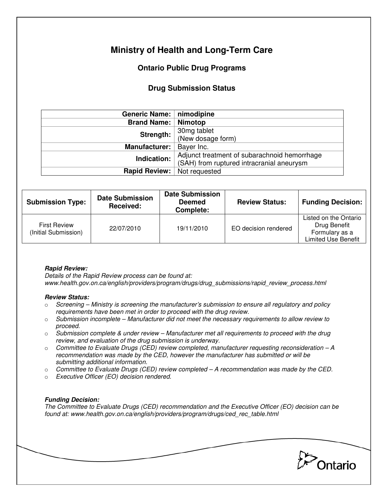# **Ministry of Health and Long-Term Care**

# **Ontario Public Drug Programs**

## **Drug Submission Status**

| Generic Name:   nimodipine |                                              |  |  |
|----------------------------|----------------------------------------------|--|--|
| <b>Brand Name:</b>         | Nimotop                                      |  |  |
| Strength:                  | 30mg tablet                                  |  |  |
|                            | (New dosage form)                            |  |  |
| <b>Manufacturer:</b>       | Bayer Inc.                                   |  |  |
| Indication:                | Adjunct treatment of subarachnoid hemorrhage |  |  |
|                            | (SAH) from ruptured intracranial aneurysm    |  |  |
| Rapid Review:              | Not requested                                |  |  |

| <b>Submission Type:</b>                     | <b>Date Submission</b><br>Received: | <b>Date Submission</b><br><b>Deemed</b><br>Complete: | <b>Review Status:</b> | <b>Funding Decision:</b>                                                       |
|---------------------------------------------|-------------------------------------|------------------------------------------------------|-----------------------|--------------------------------------------------------------------------------|
| <b>First Review</b><br>(Initial Submission) | 22/07/2010                          | 19/11/2010                                           | EO decision rendered  | Listed on the Ontario<br>Drug Benefit<br>Formulary as a<br>Limited Use Benefit |

## **Rapid Review:**

Details of the Rapid Review process can be found at: www.health.gov.on.ca/english/providers/program/drugs/drug\_submissions/rapid\_review\_process.html

### **Review Status:**

- $\circ$  Screening Ministry is screening the manufacturer's submission to ensure all regulatory and policy requirements have been met in order to proceed with the drug review.
- $\circ$  Submission incomplete Manufacturer did not meet the necessary requirements to allow review to proceed.
- $\circ$  Submission complete & under review Manufacturer met all requirements to proceed with the drug review, and evaluation of the drug submission is underway.
- $\circ$  Committee to Evaluate Drugs (CED) review completed, manufacturer requesting reconsideration A recommendation was made by the CED, however the manufacturer has submitted or will be submitting additional information.
- $\circ$  Committee to Evaluate Drugs (CED) review completed  $-A$  recommendation was made by the CED.
- o Executive Officer (EO) decision rendered.

### **Funding Decision:**

The Committee to Evaluate Drugs (CED) recommendation and the Executive Officer (EO) decision can be found at: www.health.gov.on.ca/english/providers/program/drugs/ced\_rec\_table.html